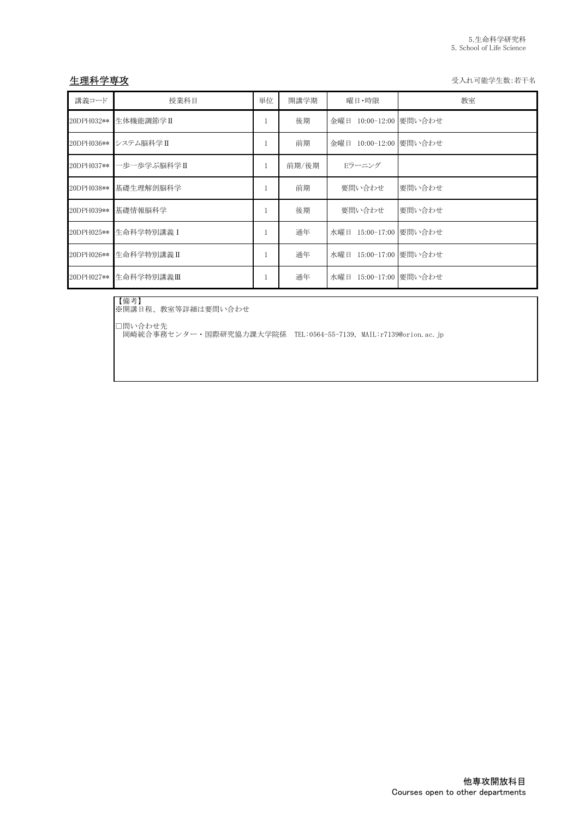生理科学専攻 きょうきょう しょうかん こうしょう かんしゃ かんしゃ かんしゅう かんしゅう 受入れ可能学生数:若干名

| 講義コード      | 授業科目        | 単位 | 開講学期  | 曜日・時限                  | 教室                 |
|------------|-------------|----|-------|------------------------|--------------------|
| 20DPH032** | 生体機能調節学Ⅱ    |    | 後期    | 金曜日 10:00-12:00 要問い合わせ |                    |
| 20DPH036** | システム脳科学Ⅱ    |    | 前期    | 金曜日 10:00-12:00 要問い合わせ |                    |
| 20DPH037** | ・歩一歩学ぶ脳科学Ⅱ  |    | 前期/後期 | Eラーニング                 |                    |
| 20DPH038** | 基礎生理解剖脳科学   |    | 前期    | 要問い合わせ                 | 要問い合わせ             |
| 20DPH039** | 基礎情報脳科学     |    | 後期    | 要問い合わせ                 | 要問い合わせ             |
| 20DPH025** | 生命科学特別講義 I  |    | 通年    | 水曜日 15:00-17:00 要問い合わせ |                    |
| 20DPH026** | 生命科学特別講義 II |    | 通年    | 水曜日 15:00-17:00 要問い合わせ |                    |
| 20DPH027** | 生命科学特別講義Ⅲ   |    | 通年    | 水曜日                    | 15:00-17:00 要問い合わせ |

【備考】 ※開講日程、教室等詳細は要問い合わせ

□問い合わせ先

岡崎統合事務センター・国際研究協力課大学院係 TEL:0564-55-7139, MAIL:r7139@orion.ac.jp